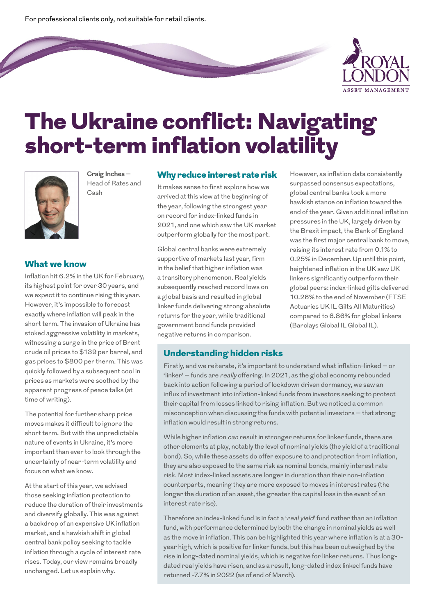For professional clients only, not suitable for retail clients.



# The Ukraine conflict: Navigating short-term inflation volatility



**Craig Inches** – Head of Rates and Cash

#### What we know

Inflation hit 6.2% in the UK for February, its highest point for over 30 years, and we expect it to continue rising this year. However, it's impossible to forecast exactly where inflation will peak in the short term. The invasion of Ukraine has stoked aggressive volatility in markets, witnessing a surge in the price of Brent crude oil prices to \$139 per barrel, and gas prices to \$800 per therm. This was quickly followed by a subsequent cool in prices as markets were soothed by the apparent progress of peace talks (at time of writing).

The potential for further sharp price moves makes it difficult to ignore the short term. But with the unpredictable nature of events in Ukraine, it's more important than ever to look through the uncertainty of near-term volatility and focus on what we know.

At the start of this year, we advised those seeking inflation protection to reduce the duration of their investments and diversify globally. This was against a backdrop of an expensive UK inflation market, and a hawkish shift in global central bank policy seeking to tackle inflation through a cycle of interest rate rises. Today, our view remains broadly unchanged. Let us explain why.

#### Why reduce interest rate risk

It makes sense to first explore how we arrived at this view at the beginning of the year, following the strongest year on record for index-linked funds in 2021, and one which saw the UK market outperform globally for the most part.

Global central banks were extremely supportive of markets last year, firm in the belief that higher inflation was a transitory phenomenon. Real yields subsequently reached record lows on a global basis and resulted in global linker funds delivering strong absolute returns for the year, while traditional government bond funds provided negative returns in comparison.

However, as inflation data consistently surpassed consensus expectations, global central banks took a more hawkish stance on inflation toward the end of the year. Given additional inflation pressures in the UK, largely driven by the Brexit impact, the Bank of England was the first major central bank to move, raising its interest rate from 0.1% to 0.25% in December. Up until this point, heightened inflation in the UK saw UK linkers significantly outperform their global peers: index-linked gilts delivered 10.26% to the end of November (FTSE Actuaries UK IL Gilts All Maturities) compared to 6.86% for global linkers (Barclays Global IL Global IL).

#### Understanding hidden risks

Firstly, and we reiterate, it's important to understand what inflation-linked – or 'linker' – funds are really offering. In 2021, as the global economy rebounded back into action following a period of lockdown driven dormancy, we saw an influx of investment into inflation-linked funds from investors seeking to protect their capital from losses linked to rising inflation. But we noticed a common misconception when discussing the funds with potential investors – that strong inflation would result in strong returns.

While higher inflation can result in stronger returns for linker funds, there are other elements at play, notably the level of nominal yields (the yield of a traditional bond). So, while these assets do offer exposure to and protection from inflation, they are also exposed to the same risk as nominal bonds, mainly interest rate risk. Most index-linked assets are longer in duration than their non-inflation counterparts, meaning they are more exposed to moves in interest rates (the longer the duration of an asset, the greater the capital loss in the event of an interest rate rise).

Therefore an index-linked fund is in fact a 'real yield' fund rather than an inflation fund, with performance determined by both the change in nominal yields as well as the move in inflation. This can be highlighted this year where inflation is at a 30 year high, which is positive for linker funds, but this has been outweighed by the rise in long-dated nominal yields, which is negative for linker returns. Thus longdated real yields have risen, and as a result, long-dated index linked funds have returned -7.7% in 2022 (as of end of March).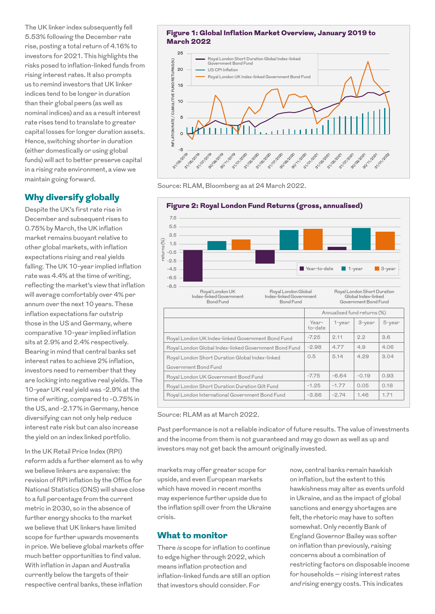The UK linker index subsequently fell 5.53% following the December rate rise, posting a total return of 4.16% to investors for 2021. This highlights the risks posed to inflation-linked funds from rising interest rates. It also prompts us to remind investors that UK linker indices tend to be longer in duration than their global peers (as well as nominal indices) and as a result interest rate rises tend to translate to greater capital losses for longer duration assets. Hence, switching shorter in duration (either domestically or using global funds) will act to better preserve capital in a rising rate environment, a view we maintain going forward.

# Why diversify globally

Despite the UK's first rate rise in December and subsequent rises to 0.75% by March, the UK inflation market remains buoyant relative to other global markets, with inflation expectations rising and real yields falling. The UK 10-year implied inflation rate was 4.4% at the time of writing, reflecting the market's view that inflation will average comfortably over 4% per annum over the next 10 years. These inflation expectations far outstrip those in the US and Germany, where comparative 10-year implied inflation sits at 2.9% and 2.4% respectively. Bearing in mind that central banks set interest rates to achieve 2% inflation, investors need to remember that they are locking into negative real yields. The 10-year UK real yield was -2.9% at the time of writing, compared to -0.75% in the US, and -2.17% in Germany, hence diversifying can not only help reduce interest rate risk but can also increase the yield on an index linked portfolio.

In the UK Retail Price Index (RPI) reform adds a further element as to why we believe linkers are expensive: the revision of RPI inflation by the Office for National Statistics (ONS) will shave close to a full percentage from the current metric in 2030, so in the absence of further energy shocks to the market we believe that UK linkers have limited scope for further upwards movements in price. We believe global markets offer much better opportunities to find value. With inflation in Japan and Australia currently below the targets of their respective central banks, these inflation

#### Figure 1: Global Inflation Market Overview, January 2019 to March 2022



Source: RLAM, Bloomberg as at 24 March 2022.



Source: RLAM as at March 2022.

Past performance is not a reliable indicator of future results. The value of investments and the income from them is not guaranteed and may go down as well as up and investors may not get back the amount originally invested.

markets may offer greater scope for upside, and even European markets which have moved in recent months may experience further upside due to the inflation spill over from the Ukraine crisis.

#### What to monitor

There is scope for inflation to continue to edge higher through 2022, which means inflation protection and inflation-linked funds are still an option that investors should consider. For

now, central banks remain hawkish on inflation, but the extent to this hawkishness may alter as events unfold in Ukraine, and as the impact of global sanctions and energy shortages are felt, the rhetoric may have to soften somewhat. Only recently Bank of England Governor Bailey was softer on inflation than previously, raising concerns about a combination of restricting factors on disposable income for households – rising interest rates and rising energy costs. This indicates